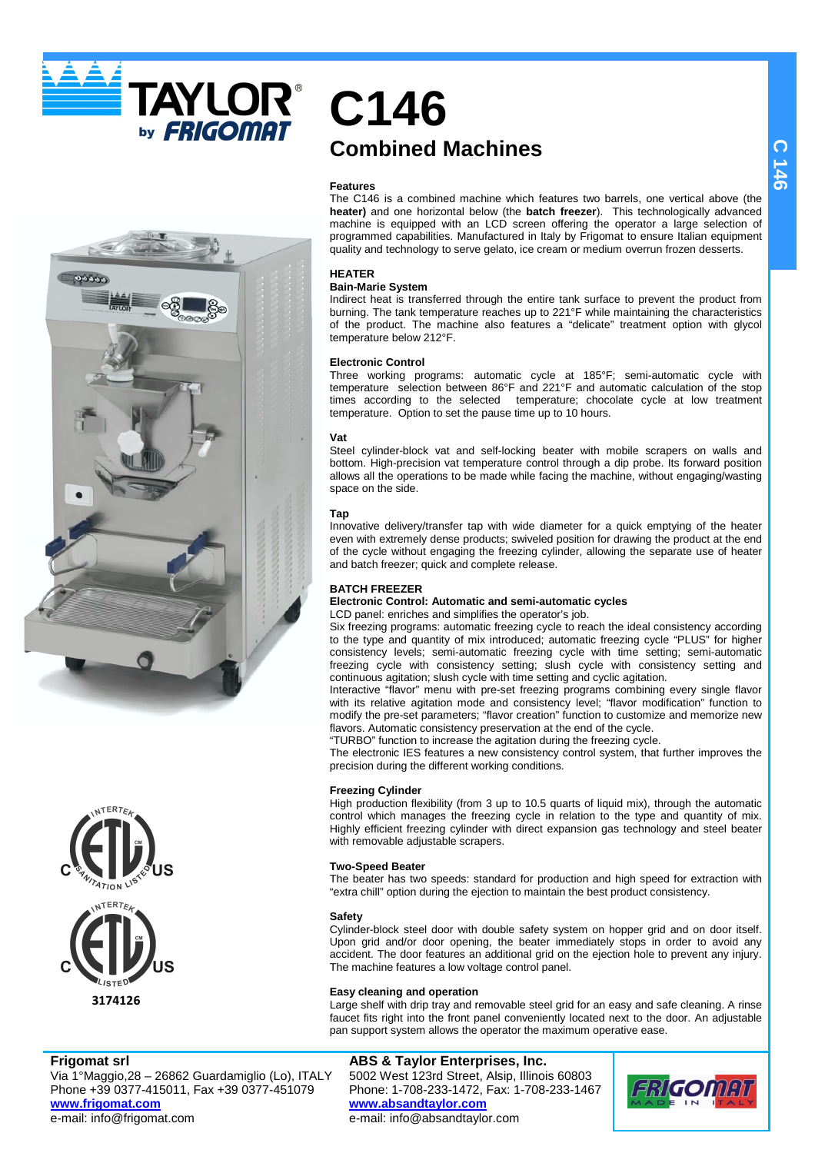**TAYLOR®** by **FRIGOMAT** 





**Frigomat srl**

Via 1°Maggio,28 – 26862 Guardamiglio (Lo), ITALY Phone +39 0377-415011, Fax +39 0377-451079 **www.frigomat.com** e-mail: info@frigomat.com

# **C146 Combined Machines**

### **Features**

The C146 is a combined machine which features two barrels, one vertical above (the **heater)** and one horizontal below (the **batch freezer**). This technologically advanced machine is equipped with an LCD screen offering the operator a large selection of programmed capabilities. Manufactured in Italy by Frigomat to ensure Italian equipment quality and technology to serve gelato, ice cream or medium overrun frozen desserts.

# **HEATER**

### **Bain-Marie System**

Indirect heat is transferred through the entire tank surface to prevent the product from burning. The tank temperature reaches up to 221°F while maintaining the characteristics of the product. The machine also features a "delicate" treatment option with glycol temperature below 212°F.

### **Electronic Control**

Three working programs: automatic cycle at 185°F; semi-automatic cycle with temperature selection between 86°F and 221°F and automatic calculation of the stop times according to the selected temperature; chocolate cycle at low treatment temperature. Option to set the pause time up to 10 hours.

### **Vat**

Steel cylinder-block vat and self-locking beater with mobile scrapers on walls and bottom. High-precision vat temperature control through a dip probe. Its forward position allows all the operations to be made while facing the machine, without engaging/wasting space on the side.

### **Tap**

Innovative delivery/transfer tap with wide diameter for a quick emptying of the heater even with extremely dense products; swiveled position for drawing the product at the end of the cycle without engaging the freezing cylinder, allowing the separate use of heater and batch freezer; quick and complete release.

### **BATCH FREEZER**

### **Electronic Control: Automatic and semi-automatic cycles**  LCD panel: enriches and simplifies the operator's job.

Six freezing programs: automatic freezing cycle to reach the ideal consistency according to the type and quantity of mix introduced; automatic freezing cycle "PLUS" for higher consistency levels; semi-automatic freezing cycle with time setting; semi-automatic freezing cycle with consistency setting; slush cycle with consistency setting and continuous agitation; slush cycle with time setting and cyclic agitation.

Interactive "flavor" menu with pre-set freezing programs combining every single flavor with its relative agitation mode and consistency level; "flavor modification" function to modify the pre-set parameters; "flavor creation" function to customize and memorize new flavors. Automatic consistency preservation at the end of the cycle.

"TURBO" function to increase the agitation during the freezing cycle. The electronic IES features a new consistency control system, that further improves the precision during the different working conditions.

### **Freezing Cylinder**

High production flexibility (from 3 up to 10.5 quarts of liquid mix), through the automatic control which manages the freezing cycle in relation to the type and quantity of mix. Highly efficient freezing cylinder with direct expansion gas technology and steel beater with removable adjustable scrapers.

### **Two-Speed Beater**

The beater has two speeds: standard for production and high speed for extraction with "extra chill" option during the ejection to maintain the best product consistency.

### **Safety**

Cylinder-block steel door with double safety system on hopper grid and on door itself. Upon grid and/or door opening, the beater immediately stops in order to avoid any accident. The door features an additional grid on the ejection hole to prevent any injury. The machine features a low voltage control panel.

### **Easy cleaning and operation**

Large shelf with drip tray and removable steel grid for an easy and safe cleaning. A rinse faucet fits right into the front panel conveniently located next to the door. An adjustable pan support system allows the operator the maximum operative ease.

# **ABS & Taylor Enterprises, Inc.**

5002 West 123rd Street, Alsip, Illinois 60803 Phone: 1-708-233-1472, Fax: 1-708-233-1467 **www.absandtaylor.com** e-mail: info@absandtaylor.com